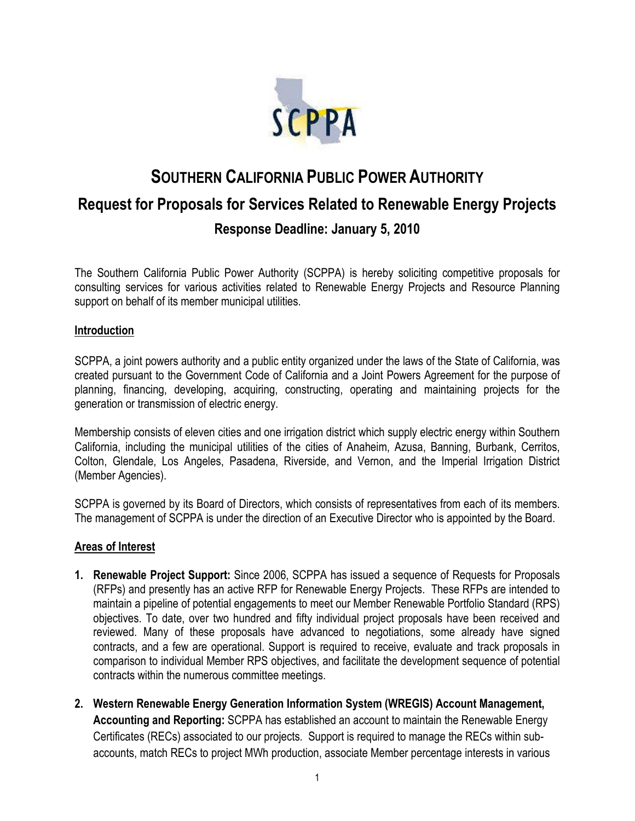

# **SOUTHERN CALIFORNIA PUBLIC POWER AUTHORITY Request for Proposals for Services Related to Renewable Energy Projects Response Deadline: January 5, 2010**

The Southern California Public Power Authority (SCPPA) is hereby soliciting competitive proposals for consulting services for various activities related to Renewable Energy Projects and Resource Planning support on behalf of its member municipal utilities.

#### **Introduction**

SCPPA, a joint powers authority and a public entity organized under the laws of the State of California, was created pursuant to the Government Code of California and a Joint Powers Agreement for the purpose of planning, financing, developing, acquiring, constructing, operating and maintaining projects for the generation or transmission of electric energy.

Membership consists of eleven cities and one irrigation district which supply electric energy within Southern California, including the municipal utilities of the cities of Anaheim, Azusa, Banning, Burbank, Cerritos, Colton, Glendale, Los Angeles, Pasadena, Riverside, and Vernon, and the Imperial Irrigation District (Member Agencies).

SCPPA is governed by its Board of Directors, which consists of representatives from each of its members. The management of SCPPA is under the direction of an Executive Director who is appointed by the Board.

#### **Areas of Interest**

- **1. Renewable Project Support:** Since 2006, SCPPA has issued a sequence of Requests for Proposals (RFPs) and presently has an active RFP for Renewable Energy Projects. These RFPs are intended to maintain a pipeline of potential engagements to meet our Member Renewable Portfolio Standard (RPS) objectives. To date, over two hundred and fifty individual project proposals have been received and reviewed. Many of these proposals have advanced to negotiations, some already have signed contracts, and a few are operational. Support is required to receive, evaluate and track proposals in comparison to individual Member RPS objectives, and facilitate the development sequence of potential contracts within the numerous committee meetings.
- **2. Western Renewable Energy Generation Information System (WREGIS) Account Management, Accounting and Reporting:** SCPPA has established an account to maintain the Renewable Energy Certificates (RECs) associated to our projects. Support is required to manage the RECs within subaccounts, match RECs to project MWh production, associate Member percentage interests in various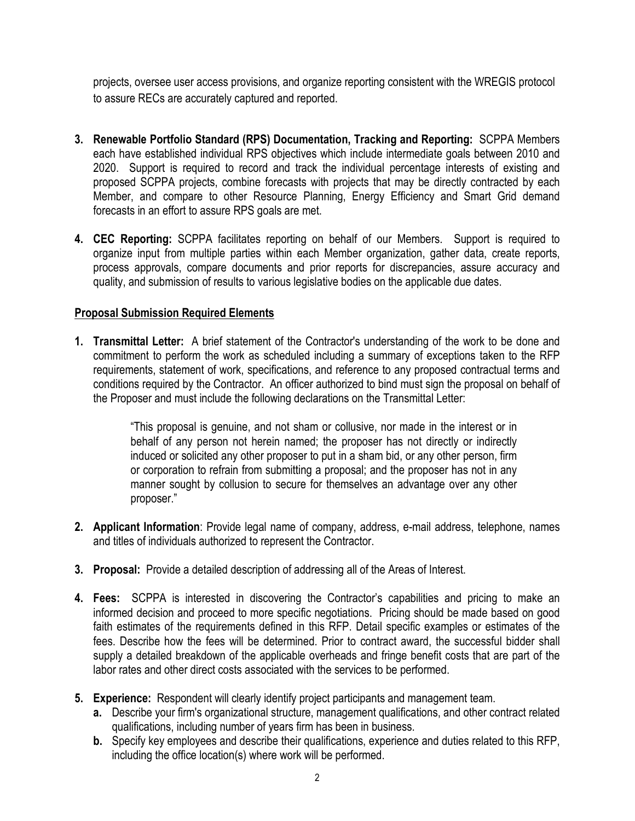projects, oversee user access provisions, and organize reporting consistent with the WREGIS protocol to assure RECs are accurately captured and reported.

- **3. Renewable Portfolio Standard (RPS) Documentation, Tracking and Reporting:** SCPPA Members each have established individual RPS objectives which include intermediate goals between 2010 and 2020. Support is required to record and track the individual percentage interests of existing and proposed SCPPA projects, combine forecasts with projects that may be directly contracted by each Member, and compare to other Resource Planning, Energy Efficiency and Smart Grid demand forecasts in an effort to assure RPS goals are met.
- **4. CEC Reporting:** SCPPA facilitates reporting on behalf of our Members. Support is required to organize input from multiple parties within each Member organization, gather data, create reports, process approvals, compare documents and prior reports for discrepancies, assure accuracy and quality, and submission of results to various legislative bodies on the applicable due dates.

# **Proposal Submission Required Elements**

**1. Transmittal Letter:** A brief statement of the Contractor's understanding of the work to be done and commitment to perform the work as scheduled including a summary of exceptions taken to the RFP requirements, statement of work, specifications, and reference to any proposed contractual terms and conditions required by the Contractor. An officer authorized to bind must sign the proposal on behalf of the Proposer and must include the following declarations on the Transmittal Letter:

> "This proposal is genuine, and not sham or collusive, nor made in the interest or in behalf of any person not herein named; the proposer has not directly or indirectly induced or solicited any other proposer to put in a sham bid, or any other person, firm or corporation to refrain from submitting a proposal; and the proposer has not in any manner sought by collusion to secure for themselves an advantage over any other proposer."

- **2. Applicant Information**: Provide legal name of company, address, e-mail address, telephone, names and titles of individuals authorized to represent the Contractor.
- **3. Proposal:** Provide a detailed description of addressing all of the Areas of Interest.
- **4. Fees:** SCPPA is interested in discovering the Contractor's capabilities and pricing to make an informed decision and proceed to more specific negotiations. Pricing should be made based on good faith estimates of the requirements defined in this RFP. Detail specific examples or estimates of the fees. Describe how the fees will be determined. Prior to contract award, the successful bidder shall supply a detailed breakdown of the applicable overheads and fringe benefit costs that are part of the labor rates and other direct costs associated with the services to be performed.
- **5. Experience:** Respondent will clearly identify project participants and management team.
	- **a.** Describe your firm's organizational structure, management qualifications, and other contract related qualifications, including number of years firm has been in business.
	- **b.** Specify key employees and describe their qualifications, experience and duties related to this RFP, including the office location(s) where work will be performed.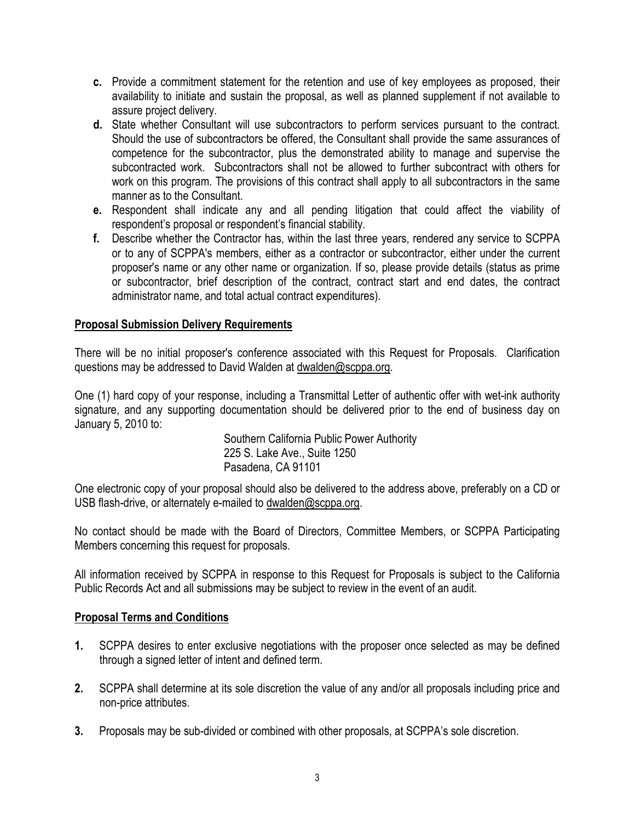- **c.** Provide a commitment statement for the retention and use of key employees as proposed, their availability to initiate and sustain the proposal, as well as planned supplement if not available to assure project delivery.
- **d.** State whether Consultant will use subcontractors to perform services pursuant to the contract. Should the use of subcontractors be offered, the Consultant shall provide the same assurances of competence for the subcontractor, plus the demonstrated ability to manage and supervise the subcontracted work. Subcontractors shall not be allowed to further subcontract with others for work on this program. The provisions of this contract shall apply to all subcontractors in the same manner as to the Consultant.
- **e.** Respondent shall indicate any and all pending litigation that could affect the viability of respondent's proposal or respondent's financial stability.
- **f.** Describe whether the Contractor has, within the last three years, rendered any service to SCPPA or to any of SCPPA's members, either as a contractor or subcontractor, either under the current proposer's name or any other name or organization. If so, please provide details (status as prime or subcontractor, brief description of the contract, contract start and end dates, the contract administrator name, and total actual contract expenditures).

# **Proposal Submission Delivery Requirements**

There will be no initial proposer's conference associated with this Request for Proposals. Clarification questions may be addressed to David Waldenat [dwalden@scppa.org](mailto:dwalden@scppa.org).

One (1) hard copy of your response, including a Transmittal Letter of authentic offer with wet-ink authority signature, and any supporting documentation should be delivered prior to the end of business day on January 5, 2010 to:

> Southern California Public Power Authority 225 S. Lake Ave., Suite 1250 Pasadena, CA 91101

One electronic copy of your proposal should also be delivered to the address above, preferably on a CD or USB flash-drive, or alternately e-mailedto [dwalden@scppa.org.](mailto:dwalden@scppa.org)

No contact should be made with the Board of Directors, Committee Members, or SCPPA Participating Members concerning this request for proposals.

All information received by SCPPA in response to this Request for Proposals is subject to the California Public Records Act and all submissions may be subject to review in the event of an audit.

## **Proposal Terms and Conditions**

- **1.** SCPPA desires to enter exclusive negotiations with the proposer once selected as may be defined through a signed letter of intent and defined term.
- **2.** SCPPA shall determine at its sole discretion the value of any and/or all proposals including price and non-price attributes.
- **3.** Proposals may be sub-divided or combined with other proposals, at SCPPA's sole discretion.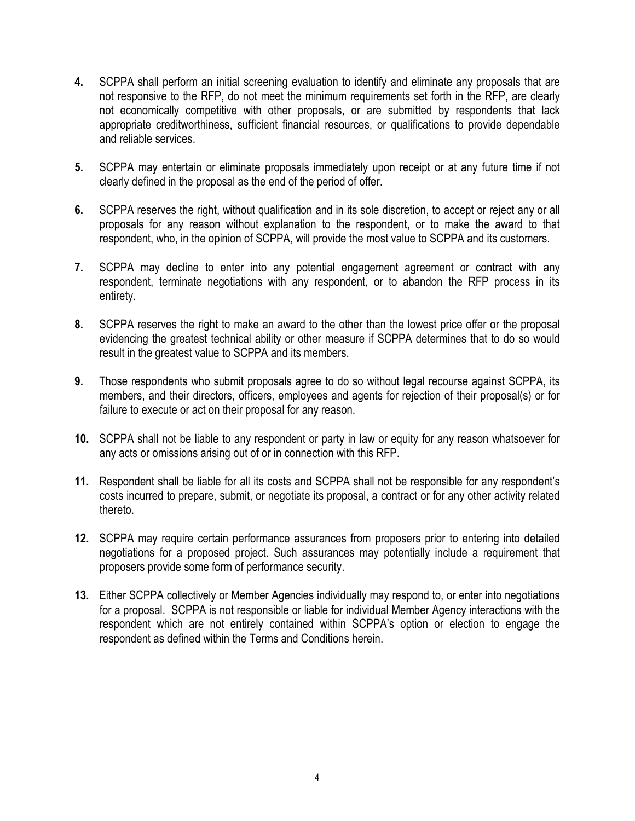- **4.** SCPPA shall perform an initial screening evaluation to identify and eliminate any proposals that are not responsive to the RFP, do not meet the minimum requirements set forth in the RFP, are clearly not economically competitive with other proposals, or are submitted by respondents that lack appropriate creditworthiness, sufficient financial resources, or qualifications to provide dependable and reliable services.
- **5.** SCPPA may entertain or eliminate proposals immediately upon receipt or at any future time if not clearly defined in the proposal as the end of the period of offer.
- **6.** SCPPA reserves the right, without qualification and in its sole discretion, to accept or reject any or all proposals for any reason without explanation to the respondent, or to make the award to that respondent, who, in the opinion of SCPPA, will provide the most value to SCPPA and its customers.
- **7.** SCPPA may decline to enter into any potential engagement agreement or contract with any respondent, terminate negotiations with any respondent, or to abandon the RFP process in its entirety.
- **8.** SCPPA reserves the right to make an award to the other than the lowest price offer or the proposal evidencing the greatest technical ability or other measure if SCPPA determines that to do so would result in the greatest value to SCPPA and its members.
- **9.** Those respondents who submit proposals agree to do so without legal recourse against SCPPA, its members, and their directors, officers, employees and agents for rejection of their proposal(s) or for failure to execute or act on their proposal for any reason.
- **10.** SCPPA shall not be liable to any respondent or party in law or equity for any reason whatsoever for any acts or omissions arising out of or in connection with this RFP.
- **11.** Respondent shall be liable for all its costs and SCPPA shall not be responsible for any respondent's costs incurred to prepare, submit, or negotiate its proposal, a contract or for any other activity related thereto.
- **12.** SCPPA may require certain performance assurances from proposers prior to entering into detailed negotiations for a proposed project. Such assurances may potentially include a requirement that proposers provide some form of performance security.
- **13.** Either SCPPA collectively or Member Agencies individually may respond to, or enter into negotiations for a proposal. SCPPA is not responsible or liable for individual Member Agency interactions with the respondent which are not entirely contained within SCPPA's option or election to engage the respondent as defined within the Terms and Conditions herein.